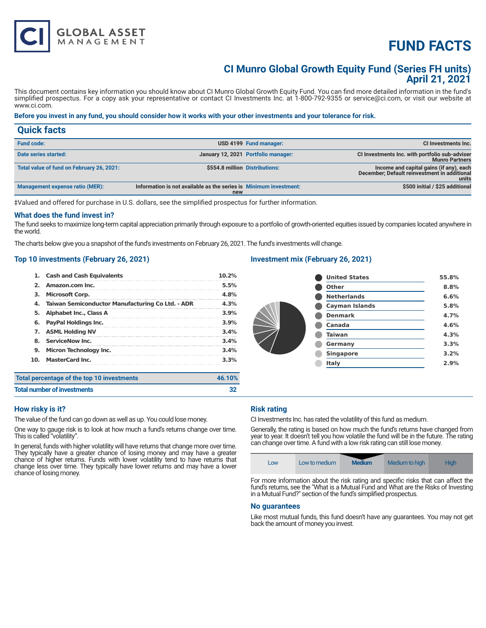# **FUND FACTS**

### **CI Munro Global Growth Equity Fund (Series FH units) April 21, 2021**

This document contains key information you should know about CI Munro Global Growth Equity Fund. You can find more detailed information in the fund's simplified prospectus. For a copy ask your representative or contact CI Investments Inc. at 1-800-792-9355 or service@ci.com, or visit our website at www.ci.com.

#### **Before you invest in any fund, you should consider how it works with your other investments and your tolerance for risk.**

| <b>Quick facts</b>                        |                                                                          |                                     |                                                                                                  |
|-------------------------------------------|--------------------------------------------------------------------------|-------------------------------------|--------------------------------------------------------------------------------------------------|
| <b>Fund code:</b>                         |                                                                          | USD 4199 Fund manager:              | CI Investments Inc.                                                                              |
| Date series started:                      |                                                                          | January 12, 2021 Portfolio manager: | CI Investments Inc. with portfolio sub-adviser<br><b>Munro Partners</b>                          |
| Total value of fund on February 26, 2021: | \$554.8 million Distributions:                                           |                                     | Income and capital gains (if any), each<br>December; Default reinvestment in additional<br>units |
| Management expense ratio (MER):           | Information is not available as the series is Minimum investment:<br>new |                                     | \$500 initial / \$25 additional                                                                  |

‡Valued and offered for purchase in U.S. dollars, see the simplified prospectus for further information.

#### **What does the fund invest in?**

The fund seeks to maximize long-term capital appreciation primarily through exposure to a portfolio of growth-oriented equities issued by companies located anywhere in the world.

The charts below give you a snapshot of the fund's investments on February 26, 2021. The fund's investments will change.

#### **Top 10 investments (February 26, 2021)**

**GLOBAL ASSET**<br>MANAGEMENT

| 1.  | <b>Cash and Cash Equivalents</b>                 | 10.2%  |
|-----|--------------------------------------------------|--------|
| 2.  | Amazon.com Inc.                                  | 5.5%   |
| з.  | <b>Microsoft Corp.</b>                           | 4.8%   |
| 4.  | Taiwan Semiconductor Manufacturing Co Ltd. - ADR | 4.3%   |
| 5.  | Alphabet Inc., Class A                           | 3.9%   |
| 6.  | <b>PayPal Holdings Inc.</b>                      | 3.9%   |
| 7.  | <b>ASML Holding NV</b>                           | 3.4%   |
| 8.  | <b>ServiceNow Inc.</b>                           | 3.4%   |
| 9.  | <b>Micron Technology Inc.</b>                    | 3.4%   |
| 10. | <b>MasterCard Inc.</b>                           | 3.3%   |
|     | Total percentage of the top 10 investments       | 46.10% |

#### **Investment mix (February 26, 2021)**

| <b>United States</b>  | 55.8% |
|-----------------------|-------|
| Other                 | 8.8%  |
| <b>Netherlands</b>    | 6.6%  |
| <b>Cayman Islands</b> | 5.8%  |
| <b>Denmark</b>        | 4.7%  |
| Canada                | 4.6%  |
| <b>Taiwan</b>         | 4.3%  |
| Germany               | 3.3%  |
| <b>Singapore</b>      | 3.2%  |
| Italy                 | 2.9%  |
|                       |       |

| Total percentage of the top 10 investments | 46.10% |
|--------------------------------------------|--------|
| <b>Total number of investments</b>         |        |
|                                            |        |

#### **How risky is it?**

The value of the fund can go down as well as up. You could lose money.

One way to gauge risk is to look at how much a fund's returns change over time. This is called "volatility".

In general, funds with higher volatility will have returns that change more over time. They typically have a greater chance of losing money and may have a greater chance of higher returns. Funds with lower volatility tend to have returns that change less over time. They typically have lower returns and may have a lower chance of losing money.

#### **Risk rating**

CI Investments Inc. has rated the volatility of this fund as medium.

Generally, the rating is based on how much the fund's returns have changed from year to year. It doesn't tell you how volatile the fund will be in the future. The rating can change over time. A fund with a low risk rating can still lose money.

|  | LOW | Low to medium | <b>Medium</b> | Medium to high | High |
|--|-----|---------------|---------------|----------------|------|
|--|-----|---------------|---------------|----------------|------|

For more information about the risk rating and specific risks that can affect the fund's returns, see the "What is a Mutual Fund and What are the Risks of Investing in a Mutual Fund?" section of the fund's simplified prospectus.

#### **No guarantees**

Like most mutual funds, this fund doesn't have any guarantees. You may not get back the amount of money you invest.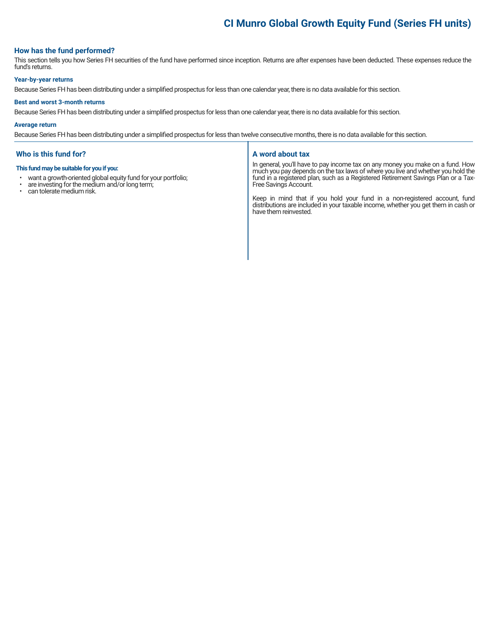## **CI Munro Global Growth Equity Fund (Series FH units)**

#### **How has the fund performed?**

This section tells you how Series FH securities of the fund have performed since inception. Returns are after expenses have been deducted. These expenses reduce the fund's returns.

#### **Year-by-year returns**

Because Series FH has been distributing under a simplified prospectus for less than one calendar year, there is no data available for this section.

#### **Best and worst 3-month returns**

Because Series FH has been distributing under a simplified prospectus for less than one calendar year, there is no data available for this section.

#### **Average return**

Because Series FH has been distributing under a simplified prospectus for less than twelve consecutive months, there is no data available for this section.

#### **Who is this fund for?**

#### **This fund may be suitable for you if you:**

- want a growth-oriented global equity fund for your portfolio;<br>• are investing for the medium and/or long term:
- are investing for the medium and/or long term;<br>• can telerate medium risk
- can tolerate medium risk.

#### **A word about tax**

In general, you'll have to pay income tax on any money you make on a fund. How much you pay depends on the tax laws of where you live and whether you hold the fund in a registered plan, such as a Registered Retirement Savings Plan or a Tax-Free Savings Account.

Keep in mind that if you hold your fund in a non-registered account, fund distributions are included in your taxable income, whether you get them in cash or have them reinvested.